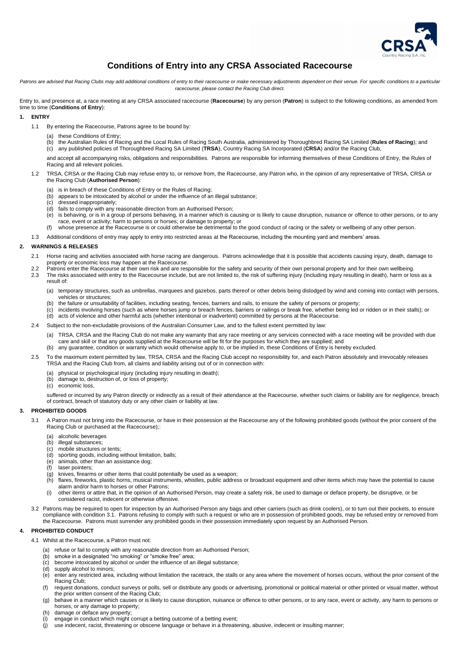

# **Conditions of Entry into any CRSA Associated Racecourse**

Patrons are advised that Racing Clubs may add additional conditions of entry to their racecourse or make necessary adjustments dependent on their venue. For specific conditions to a particular *racecourse, please contact the Racing Club direct.*

Entry to, and presence at, a race meeting at any CRSA associated racecourse (**Racecourse**) by any person (**Patron**) is subject to the following conditions, as amended from time to time (**Conditions of Entry**):

#### **1. ENTRY**

- 1.1 By entering the Racecourse, Patrons agree to be bound by:
	- (a) these Conditions of Entry;
	- (b) the Australian Rules of Racing and the Local Rules of Racing South Australia, administered by Thoroughbred Racing SA Limited (**Rules of Racing**); and (c) any published policies of Thoroughbred Racing SA Limited (**TRSA**), Country Racing SA Incorporated (**CRSA**) and/or the Racing Club,

and accept all accompanying risks, obligations and responsibilities. Patrons are responsible for informing themselves of these Conditions of Entry, the Rules of Racing and all relevant policies.

- 1.2 TRSA, CRSA or the Racing Club may refuse entry to, or remove from, the Racecourse, any Patron who, in the opinion of any representative of TRSA, CRSA or the Racing Club (**Authorised Person**):
	- (a) is in breach of these Conditions of Entry or the Rules of Racing;
	- (b) appears to be intoxicated by alcohol or under the influence of an illegal substance;
	- (c) dressed inappropriately;
	- (d) fails to comply with any reasonable direction from an Authorised Person;
	- (e) is behaving, or is in a group of persons behaving, in a manner which is causing or is likely to cause disruption, nuisance or offence to other persons, or to any race, event or activity; harm to persons or horses; or damage to property; or
	- (f) whose presence at the Racecourse is or could otherwise be detrimental to the good conduct of racing or the safety or wellbeing of any other person.

1.3 Additional conditions of entry may apply to entry into restricted areas at the Racecourse, including the mounting yard and members' areas.

#### **2. WARNINGS & RELEASES**

suffered or incurred by any Patron directly or indirectly as a result of their attendance at the Racecourse, whether such claims or liability are for negligence, breach of contract, breach of statutory duty or any other claim or liability at law.

- 2.1 Horse racing and activities associated with horse racing are dangerous. Patrons acknowledge that it is possible that accidents causing injury, death, damage to property or economic loss may happen at the Racecourse.
- 2.2 Patrons enter the Racecourse at their own risk and are responsible for the safety and security of their own personal property and for their own wellbeing.
- 2.3 The risks associated with entry to the Racecourse include, but are not limited to, the risk of suffering injury (including injury resulting in death), harm or loss as a result of:
	- (a) temporary structures, such as umbrellas, marquees and gazebos, parts thereof or other debris being dislodged by wind and coming into contact with persons, vehicles or structures;
	- (b) the failure or unsuitability of facilities, including seating, fences, barriers and rails, to ensure the safety of persons or property;
	- (c) incidents involving horses (such as where horses jump or breach fences, barriers or railings or break free, whether being led or ridden or in their stalls); or
	- (d) acts of violence and other harmful acts (whether intentional or inadvertent) committed by persons at the Racecourse.
- 2.4 Subject to the non-excludable provisions of the Australian Consumer Law, and to the fullest extent permitted by law:
	- (a) TRSA, CRSA and the Racing Club do not make any warranty that any race meeting or any services connected with a race meeting will be provided with due care and skill or that any goods supplied at the Racecourse will be fit for the purposes for which they are supplied; and
	- (b) any guarantee, condition or warranty which would otherwise apply to, or be implied in, these Conditions of Entry is hereby excluded.
- 2.5 To the maximum extent permitted by law, TRSA, CRSA and the Racing Club accept no responsibility for, and each Patron absolutely and irrevocably releases TRSA and the Racing Club from, all claims and liability arising out of or in connection with:
	- (a) physical or psychological injury (including injury resulting in death);
	- (b) damage to, destruction of, or loss of property;
	- (c) economic loss,

#### <span id="page-0-0"></span>**3. PROHIBITED GOODS**

- 3.1 A Patron must not bring into the Racecourse, or have in their possession at the Racecourse any of the following prohibited goods (without the prior consent of the Racing Club or purchased at the Racecourse);:
	- (a) alcoholic beverages
	- (b) illegal substances;
	- (c) mobile structures or tents;
	- (d) sporting goods, including without limitation, balls;
	- (e) animals, other than an assistance dog;
	- (f) laser pointers;
	- (g) knives, firearms or other items that could potentially be used as a weapon;
	- (h) flares, fireworks, plastic horns, musical instruments, whistles, public address or broadcast equipment and other items which may have the potential to cause alarm and/or harm to horses or other Patrons;
	- (i) other items or attire that, in the opinion of an Authorised Person, may create a safety risk, be used to damage or deface property, be disruptive, or be considered racist, indecent or otherwise offensive.
- 3.2 Patrons may be required to open for inspection by an Authorised Person any bags and other carriers (such as drink coolers), or to turn out their pockets, to ensure compliance with condition [3.1.](#page-0-0) Patrons refusing to comply with such a request or who are in possession of prohibited goods, may be refused entry or removed from the Racecourse. Patrons must surrender any prohibited goods in their possession immediately upon request by an Authorised Person.

# **4. PROHIBITED CONDUCT**

- 4.1 Whilst at the Racecourse, a Patron must not:
	- (a) refuse or fail to comply with any reasonable direction from an Authorised Person;
	- (b) smoke in a designated "no smoking" or "smoke free" area;
	- (c) become intoxicated by alcohol or under the influence of an illegal substance;
	- (d) supply alcohol to minors;
	- (e) enter any restricted area, including without limitation the racetrack, the stalls or any area where the movement of horses occurs, without the prior consent of the Racing Club;
	- (f) request donations, conduct surveys or polls, sell or distribute any goods or advertising, promotional or political material or other printed or visual matter, without the prior written consent of the Racing Club;
	- (g) behave in a manner which causes or is likely to cause disruption, nuisance or offence to other persons, or to any race, event or activity, any harm to persons or horses, or any damage to property;
	- (h) damage or deface any property;
	- (i) engage in conduct which might corrupt a betting outcome of a betting event;
	- (j) use indecent, racist, threatening or obscene language or behave in a threatening, abusive, indecent or insulting manner;